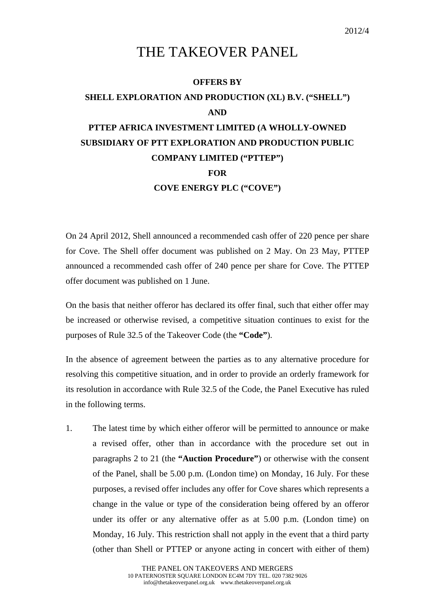## THE TAKEOVER PANEL

## **OFFERS BY**

## **SHELL EXPLORATION AND PRODUCTION (XL) B.V. ("SHELL") AND PTTEP AFRICA INVESTMENT LIMITED (A WHOLLY-OWNED SUBSIDIARY OF PTT EXPLORATION AND PRODUCTION PUBLIC COMPANY LIMITED ("PTTEP") FOR**

## **COVE ENERGY PLC ("COVE")**

On 24 April 2012, Shell announced a recommended cash offer of 220 pence per share for Cove. The Shell offer document was published on 2 May. On 23 May, PTTEP announced a recommended cash offer of 240 pence per share for Cove. The PTTEP offer document was published on 1 June.

On the basis that neither offeror has declared its offer final, such that either offer may be increased or otherwise revised, a competitive situation continues to exist for the purposes of Rule 32.5 of the Takeover Code (the **"Code"**).

In the absence of agreement between the parties as to any alternative procedure for resolving this competitive situation, and in order to provide an orderly framework for its resolution in accordance with Rule 32.5 of the Code, the Panel Executive has ruled in the following terms.

1. The latest time by which either offeror will be permitted to announce or make a revised offer, other than in accordance with the procedure set out in paragraphs 2 to 21 (the **"Auction Procedure"**) or otherwise with the consent of the Panel, shall be 5.00 p.m. (London time) on Monday, 16 July. For these purposes, a revised offer includes any offer for Cove shares which represents a change in the value or type of the consideration being offered by an offeror under its offer or any alternative offer as at 5.00 p.m. (London time) on Monday, 16 July. This restriction shall not apply in the event that a third party (other than Shell or PTTEP or anyone acting in concert with either of them)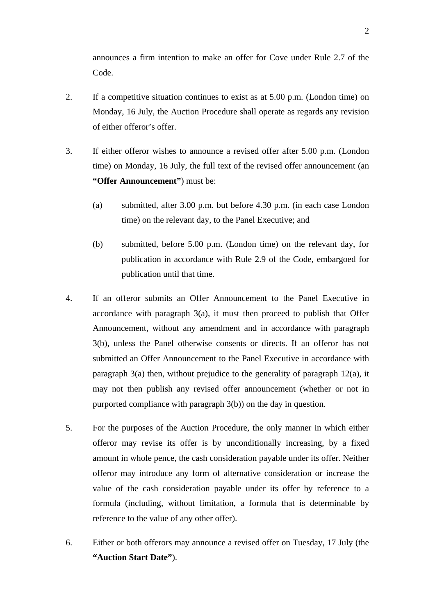announces a firm intention to make an offer for Cove under Rule 2.7 of the Code.

- 2. If a competitive situation continues to exist as at 5.00 p.m. (London time) on Monday, 16 July, the Auction Procedure shall operate as regards any revision of either offeror's offer.
- 3. If either offeror wishes to announce a revised offer after 5.00 p.m. (London time) on Monday, 16 July, the full text of the revised offer announcement (an **"Offer Announcement"**) must be:
	- (a) submitted, after 3.00 p.m. but before 4.30 p.m. (in each case London time) on the relevant day, to the Panel Executive; and
	- (b) submitted, before 5.00 p.m. (London time) on the relevant day, for publication in accordance with Rule 2.9 of the Code, embargoed for publication until that time.
- 4. If an offeror submits an Offer Announcement to the Panel Executive in accordance with paragraph  $3(a)$ , it must then proceed to publish that Offer Announcement, without any amendment and in accordance with paragraph 3(b), unless the Panel otherwise consents or directs. If an offeror has not submitted an Offer Announcement to the Panel Executive in accordance with paragraph 3(a) then, without prejudice to the generality of paragraph 12(a), it may not then publish any revised offer announcement (whether or not in purported compliance with paragraph 3(b)) on the day in question.
- 5. For the purposes of the Auction Procedure, the only manner in which either offeror may revise its offer is by unconditionally increasing, by a fixed amount in whole pence, the cash consideration payable under its offer. Neither offeror may introduce any form of alternative consideration or increase the value of the cash consideration payable under its offer by reference to a formula (including, without limitation, a formula that is determinable by reference to the value of any other offer).
- 6. Either or both offerors may announce a revised offer on Tuesday, 17 July (the **"Auction Start Date"**).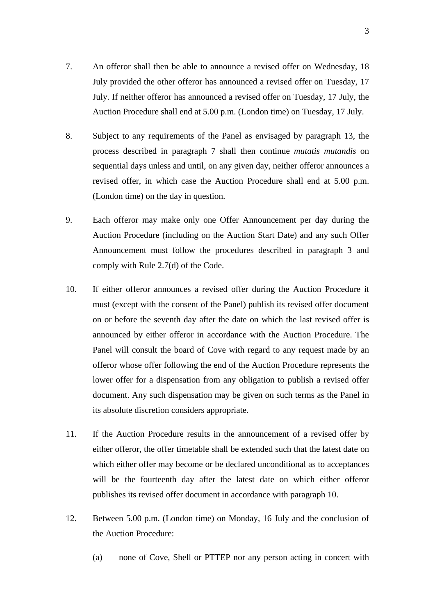- 7. An offeror shall then be able to announce a revised offer on Wednesday, 18 July provided the other offeror has announced a revised offer on Tuesday, 17 July. If neither offeror has announced a revised offer on Tuesday, 17 July, the Auction Procedure shall end at 5.00 p.m. (London time) on Tuesday, 17 July.
- 8. Subject to any requirements of the Panel as envisaged by paragraph 13, the process described in paragraph 7 shall then continue *mutatis mutandis* on sequential days unless and until, on any given day, neither offeror announces a revised offer, in which case the Auction Procedure shall end at 5.00 p.m. (London time) on the day in question.
- 9. Each offeror may make only one Offer Announcement per day during the Auction Procedure (including on the Auction Start Date) and any such Offer Announcement must follow the procedures described in paragraph 3 and comply with Rule 2.7(d) of the Code.
- 10. If either offeror announces a revised offer during the Auction Procedure it must (except with the consent of the Panel) publish its revised offer document on or before the seventh day after the date on which the last revised offer is announced by either offeror in accordance with the Auction Procedure. The Panel will consult the board of Cove with regard to any request made by an offeror whose offer following the end of the Auction Procedure represents the lower offer for a dispensation from any obligation to publish a revised offer document. Any such dispensation may be given on such terms as the Panel in its absolute discretion considers appropriate.
- 11. If the Auction Procedure results in the announcement of a revised offer by either offeror, the offer timetable shall be extended such that the latest date on which either offer may become or be declared unconditional as to acceptances will be the fourteenth day after the latest date on which either offeror publishes its revised offer document in accordance with paragraph 10.
- 12. Between 5.00 p.m. (London time) on Monday, 16 July and the conclusion of the Auction Procedure:
	- (a) none of Cove, Shell or PTTEP nor any person acting in concert with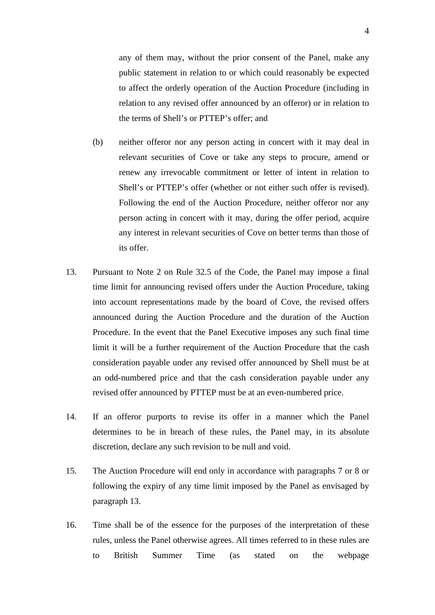any of them may, without the prior consent of the Panel, make any public statement in relation to or which could reasonably be expected to affect the orderly operation of the Auction Procedure (including in relation to any revised offer announced by an offeror) or in relation to the terms of Shell's or PTTEP's offer; and

- (b) neither offeror nor any person acting in concert with it may deal in relevant securities of Cove or take any steps to procure, amend or renew any irrevocable commitment or letter of intent in relation to Shell's or PTTEP's offer (whether or not either such offer is revised). Following the end of the Auction Procedure, neither offeror nor any person acting in concert with it may, during the offer period, acquire any interest in relevant securities of Cove on better terms than those of its offer.
- 13. Pursuant to Note 2 on Rule 32.5 of the Code, the Panel may impose a final time limit for announcing revised offers under the Auction Procedure, taking into account representations made by the board of Cove, the revised offers announced during the Auction Procedure and the duration of the Auction Procedure. In the event that the Panel Executive imposes any such final time limit it will be a further requirement of the Auction Procedure that the cash consideration payable under any revised offer announced by Shell must be at an odd-numbered price and that the cash consideration payable under any revised offer announced by PTTEP must be at an even-numbered price.
- 14. If an offeror purports to revise its offer in a manner which the Panel determines to be in breach of these rules, the Panel may, in its absolute discretion, declare any such revision to be null and void.
- 15. The Auction Procedure will end only in accordance with paragraphs 7 or 8 or following the expiry of any time limit imposed by the Panel as envisaged by paragraph 13.
- 16. Time shall be of the essence for the purposes of the interpretation of these rules, unless the Panel otherwise agrees. All times referred to in these rules are to British Summer Time (as stated on the webpage